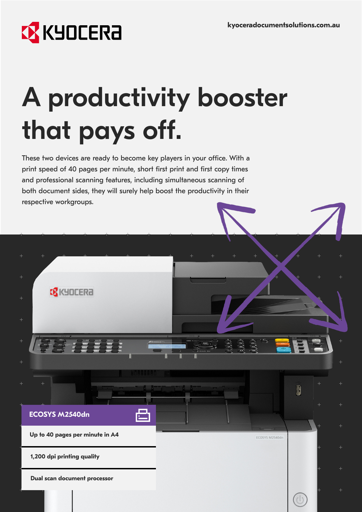## **EX KYOCERA**

# A productivity booster that pays off.

These two devices are ready to become key players in your office. With a print speed of 40 pages per minute, short first print and first copy times and professional scanning features, including simultaneous scanning of both document sides, they will surely help boost the productivity in their respective workgroups.